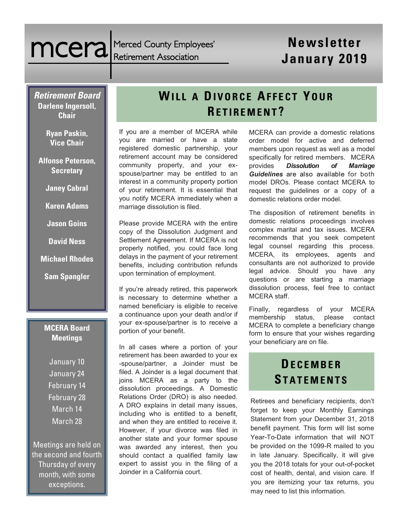Merced County Employees' Retirement Association

# **newsletter** Merced County Employees' **Newsletter**<br> **January 2019**

*Retirement Board*  **Darlene Ingersoll, Chair**

> **Ryan Paskin, Vice Chair**

**Alfonse Peterson, Secretary**

**Janey Cabral**

**Karen Adams** 

- **Jason Goins**
- **David Ness**
- **Michael Rhodes**
- **Sam Spangler**

#### **MCERA Board Meetings**

January 10 January 24 February 14 February 28 March 14 March 28

Meetings are held on the second and fourth Thursday of every month, with some exceptions.

# **WILL A DI V O R C E AF F E C T YOUR RE T I R E M E N T ?**

If you are a member of MCERA while you are married or have a state registered domestic partnership, your retirement account may be considered community property, and your exspouse/partner may be entitled to an interest in a community property portion of your retirement. It is essential that you notify MCERA immediately when a marriage dissolution is filed.

Please provide MCERA with the entire copy of the Dissolution Judgment and Settlement Agreement. If MCERA is not properly notified, you could face long delays in the payment of your retirement benefits, including contribution refunds upon termination of employment.

If you're already retired, this paperwork is necessary to determine whether a named beneficiary is eligible to receive a continuance upon your death and/or if your ex-spouse/partner is to receive a portion of your benefit.

In all cases where a portion of your retirement has been awarded to your ex -spouse/partner, a Joinder must be filed. A Joinder is a legal document that joins MCERA as a party to the dissolution proceedings. A Domestic Relations Order (DRO) is also needed. A DRO explains in detail many issues, including who is entitled to a benefit, and when they are entitled to receive it. However, if your divorce was filed in another state and your former spouse was awarded any interest, then you should contact a qualified family law expert to assist you in the filing of a Joinder in a California court.

MCERA can provide a domestic relations order model for active and deferred members upon request as well as a model specifically for retired members. MCERA provides *Dissolution of Marriage Guidelines* are also available for both model DROs. Please contact MCERA to request the guidelines or a copy of a domestic relations order model.

The disposition of retirement benefits in domestic relations proceedings involves complex marital and tax issues. MCERA recommends that you seek competent legal counsel regarding this process. MCERA, its employees, agents and consultants are not authorized to provide legal advice. Should you have any questions or are starting a marriage dissolution process, feel free to contact MCERA staff.

Finally, regardless of your MCERA membership status, please contact MCERA to complete a beneficiary change form to ensure that your wishes regarding your beneficiary are on file.

# **DE C E M B E R ST A T E M E N T S**

Retirees and beneficiary recipients, don't forget to keep your Monthly Earnings Statement from your December 31, 2018 benefit payment. This form will list some Year-To-Date information that will NOT be provided on the 1099-R mailed to you in late January. Specifically, it will give you the 2018 totals for your out-of-pocket cost of health, dental, and vision care. If you are itemizing your tax returns, you may need to list this information.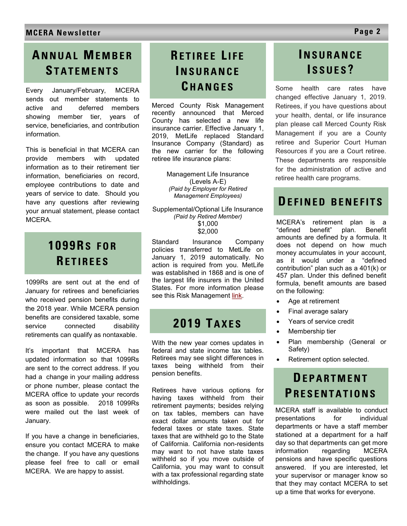# **AN N U A L ME M B E R ST A T E M E N T S**

Every January/February, MCERA sends out member statements to active and deferred members showing member tier, years of service, beneficiaries, and contribution information.

This is beneficial in that MCERA can provide members with updated information as to their retirement tier information, beneficiaries on record, employee contributions to date and years of service to date. Should you have any questions after reviewing your annual statement, please contact MCERA.

# **1099RS F O R RE T I R E E S**

1099Rs are sent out at the end of January for retirees and beneficiaries who received pension benefits during the 2018 year. While MCERA pension benefits are considered taxable, some service connected disability retirements can qualify as nontaxable.

It's important that MCERA has updated information so that 1099Rs are sent to the correct address. If you had a change in your mailing address or phone number, please contact the MCERA office to update your records as soon as possible. 2018 1099Rs were mailed out the last week of January.

If you have a change in beneficiaries, ensure you contact MCERA to make the change. If you have any questions please feel free to call or email MCERA. We are happy to assist.

# **RE T I R E E L I F E IN S U R A N C E CH A N G E S**

Merced County Risk Management recently announced that Merced County has selected a new life insurance carrier. Effective January 1, 2019, MetLife replaced Standard Insurance Company (Standard) as the new carrier for the following retiree life insurance plans:

> Management Life Insurance (Levels A-E) *(Paid by Employer for Retired Management Employees)*

Supplemental/Optional Life Insurance *(Paid by Retired Member)* \$1,000 \$2,000

Standard Insurance Company policies transferred to MetLife on January 1, 2019 automatically. No action is required from you. MetLife was established in 1868 and is one of the largest life insurers in the United States. For more information please see this Risk Management [link.](http://www.co.merced.ca.us/DocumentCenter/View/20214/2019-Retiree-Life-Insurance-Final?bidId=C:/Users/retire13/Documents/AA%20Downloads) 

# **2019 TA X E S**

With the new year comes updates in federal and state income tax tables. Retirees may see slight differences in taxes being withheld from their pension benefits.

Retirees have various options for having taxes withheld from their retirement payments; besides relying on tax tables, members can have exact dollar amounts taken out for federal taxes or state taxes. State taxes that are withheld go to the State of California. California non-residents may want to not have state taxes withheld so if you move outside of California, you may want to consult with a tax professional regarding state withholdings.

## **IN S U R A N C E I S S U E S ?**

Some health care rates have changed effective January 1, 2019. Retirees, if you have questions about your health, dental, or life insurance plan please call Merced County Risk Management if you are a County retiree and Superior Court Human Resources if you are a Court retiree. These departments are responsible for the administration of active and retiree health care programs.

### **DEFINED BENEFITS**

MCERA's retirement plan is a "defined benefit" plan. Benefit amounts are defined by a formula. It does not depend on how much money accumulates in your account, as it would under a "defined contribution" plan such as a 401(k) or 457 plan. Under this defined benefit formula, benefit amounts are based on the following:

- Age at retirement
- Final average salary
- Years of service credit
- Membership tier
- Plan membership (General or Safety)
- Retirement option selected.

# **DE P A R T M E N T PR E S E N T A T I O N S**

MCERA staff is available to conduct presentations for individual departments or have a staff member stationed at a department for a half day so that departments can get more information regarding MCERA pensions and have specific questions answered. If you are interested, let your supervisor or manager know so that they may contact MCERA to set up a time that works for everyone.